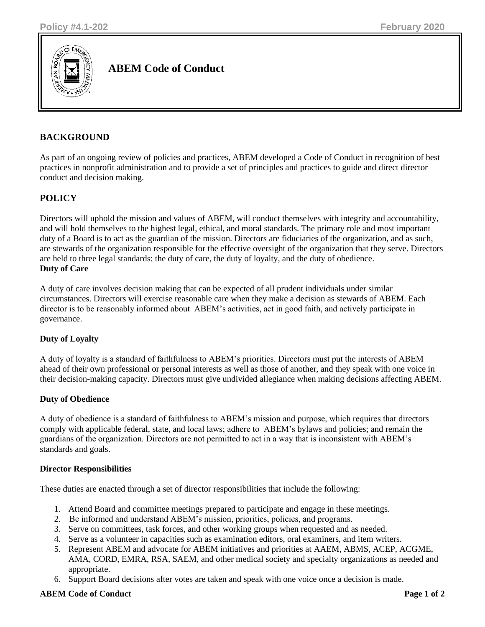

**ABEM Code of Conduct**

## **BACKGROUND**

As part of an ongoing review of policies and practices, ABEM developed a Code of Conduct in recognition of best practices in nonprofit administration and to provide a set of principles and practices to guide and direct director conduct and decision making.

# **POLICY**

Directors will uphold the mission and values of ABEM, will conduct themselves with integrity and accountability, and will hold themselves to the highest legal, ethical, and moral standards. The primary role and most important duty of a Board is to act as the guardian of the mission. Directors are fiduciaries of the organization, and as such, are stewards of the organization responsible for the effective oversight of the organization that they serve. Directors are held to three legal standards: the duty of care, the duty of loyalty, and the duty of obedience. **Duty of Care**

A duty of care involves decision making that can be expected of all prudent individuals under similar circumstances. Directors will exercise reasonable care when they make a decision as stewards of ABEM. Each director is to be reasonably informed about ABEM's activities, act in good faith, and actively participate in governance.

## **Duty of Loyalty**

A duty of loyalty is a standard of faithfulness to ABEM's priorities. Directors must put the interests of ABEM ahead of their own professional or personal interests as well as those of another, and they speak with one voice in their decision-making capacity. Directors must give undivided allegiance when making decisions affecting ABEM.

### **Duty of Obedience**

A duty of obedience is a standard of faithfulness to ABEM's mission and purpose, which requires that directors comply with applicable federal, state, and local laws; adhere to ABEM's bylaws and policies; and remain the guardians of the organization. Directors are not permitted to act in a way that is inconsistent with ABEM's standards and goals.

### **Director Responsibilities**

These duties are enacted through a set of director responsibilities that include the following:

- 1. Attend Board and committee meetings prepared to participate and engage in these meetings.
- 2. Be informed and understand ABEM's mission, priorities, policies, and programs.
- 3. Serve on committees, task forces, and other working groups when requested and as needed.
- 4. Serve as a volunteer in capacities such as examination editors, oral examiners, and item writers.
- 5. Represent ABEM and advocate for ABEM initiatives and priorities at AAEM, ABMS, ACEP, ACGME, AMA, CORD, EMRA, RSA, SAEM, and other medical society and specialty organizations as needed and appropriate.
- 6. Support Board decisions after votes are taken and speak with one voice once a decision is made.

### **ABEM Code of Conduct** Page 1 of 2